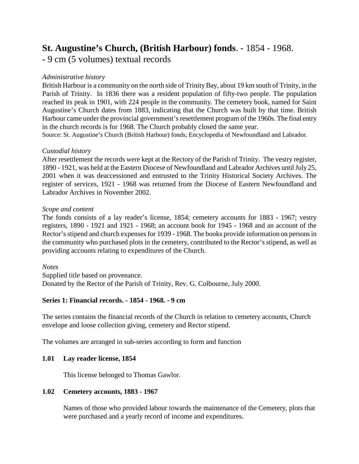# **St. Augustine's Church, (British Harbour) fonds**. - 1854 - 1968.

- 9 cm (5 volumes) textual records

## *Administrative history*

British Harbour is a community on the north side of Trinity Bay, about 19 km south of Trinity, in the Parish of Trinity. In 1836 there was a resident population of fifty-two people. The population reached its peak in 1901, with 224 people in the community. The cemetery book, named for Saint Augustine's Church dates from 1883, indicating that the Church was built by that time. British Harbour came under the provincial government's resettlement program of the 1960s. The final entry in the church records is for 1968. The Church probably closed the same year.

Source: St. Augustine's Church (British Harbour) fonds; Encyclopedia of Newfoundland and Labrador.

### *Custodial history*

After resettlement the records were kept at the Rectory of the Parish of Trinity. The vestry register, 1890 - 1921, was held at the Eastern Diocese of Newfoundland and Labrador Archives until July 25, 2001 when it was deaccessioned and entrusted to the Trinity Historical Society Archives. The register of services, 1921 - 1968 was returned from the Diocese of Eastern Newfoundland and Labrador Archives in November 2002.

### *Scope and content*

The fonds consists of a lay reader's license, 1854; cemetery accounts for 1883 - 1967; vestry registers, 1890 - 1921 and 1921 - 1968; an account book for 1945 - 1968 and an account of the Rector's stipend and church expenses for 1939 - 1968. The books provide information on persons in the community who purchased plots in the cemetery, contributed to the Rector's stipend, as well as providing accounts relating to expenditures of the Church.

### *Notes*

Supplied title based on provenance. Donated by the Rector of the Parish of Trinity, Rev. G. Colbourne, July 2000.

### **Series 1: Financial records. - 1854 - 1968. - 9 cm**

The series contains the financial records of the Church in relation to cemetery accounts, Church envelope and loose collection giving, cemetery and Rector stipend.

The volumes are arranged in sub-series according to form and function

### **1.01 Lay reader license, 1854**

This license belonged to Thomas Gawlor.

### **1.02 Cemetery accounts, 1883 - 1967**

Names of those who provided labour towards the maintenance of the Cemetery, plots that were purchased and a yearly record of income and expenditures.